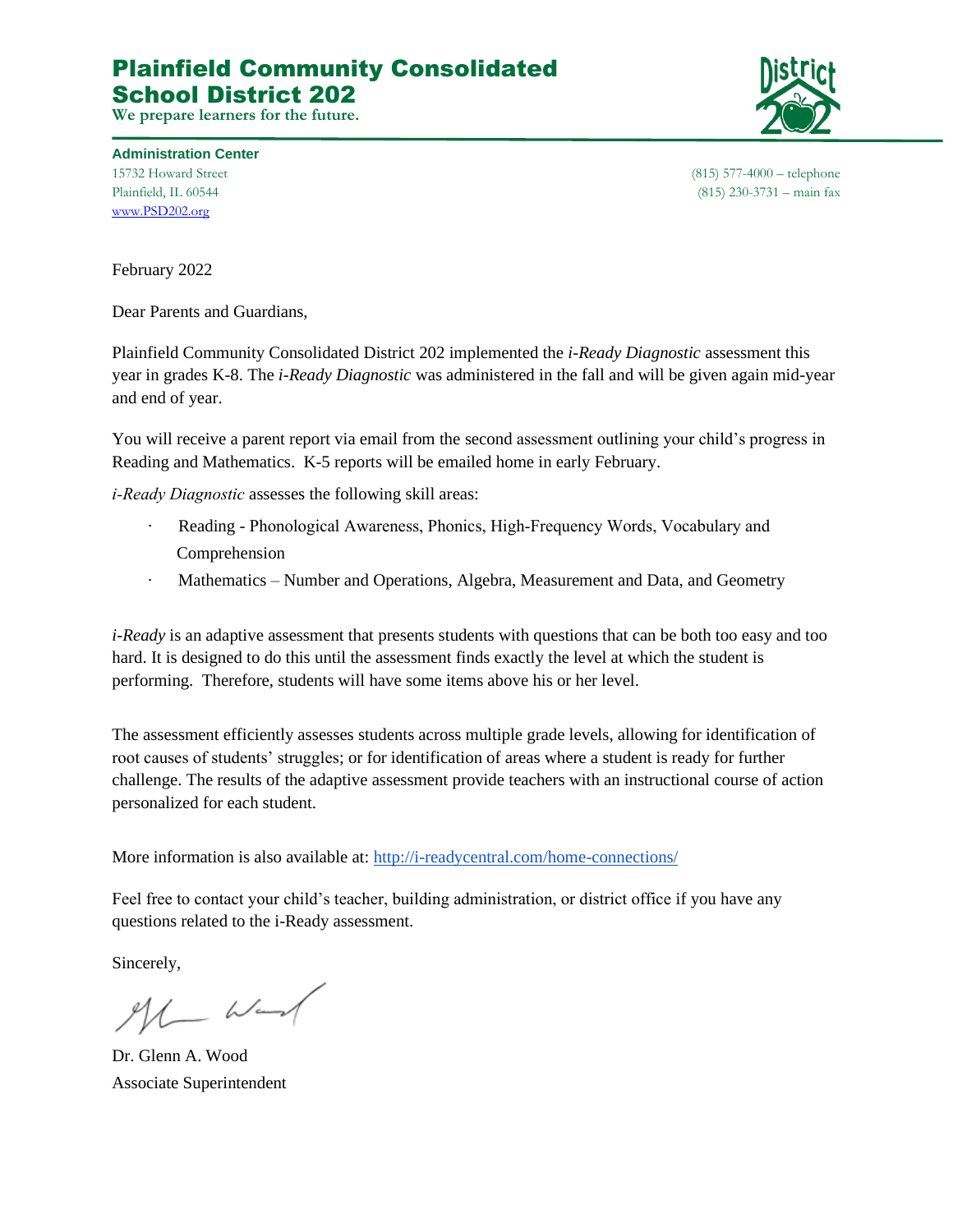## Plainfield Community Consolidated School District 202

**We prepare learners for the future.**



**Administration Center** [www.PSD202.org](http://www.psd202.org/)

15732 Howard Street (815) 577-4000 – telephone Plainfield, IL 60544 (815) 230-3731 – main fax

February 2022

Dear Parents and Guardians,

Plainfield Community Consolidated District 202 implemented the *i-Ready Diagnostic* assessment this year in grades K-8. The *i-Ready Diagnostic* was administered in the fall and will be given again mid-year and end of year.

You will receive a parent report via email from the second assessment outlining your child's progress in Reading and Mathematics. K-5 reports will be emailed home in early February.

*i‐Ready Diagnostic* assesses the following skill areas:

- Reading Phonological Awareness, Phonics, High-Frequency Words, Vocabulary and Comprehension
- · Mathematics Number and Operations, Algebra, Measurement and Data, and Geometry

*i-Ready* is an adaptive assessment that presents students with questions that can be both too easy and too hard. It is designed to do this until the assessment finds exactly the level at which the student is performing. Therefore, students will have some items above his or her level.

The assessment efficiently assesses students across multiple grade levels, allowing for identification of root causes of students' struggles; or for identification of areas where a student is ready for further challenge. The results of the adaptive assessment provide teachers with an instructional course of action personalized for each student.

More information is also available at[:](http://i-readycentral.com/home-connections/) <http://i-readycentral.com/home-connections/>

Feel free to contact your child's teacher, building administration, or district office if you have any questions related to the i-Ready assessment.

Sincerely,

 $ML$  Wand

Dr. Glenn A. Wood Associate Superintendent